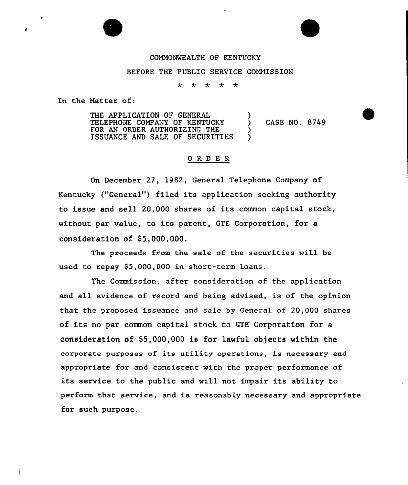## COMMONWEALTH OF KENTUCKY

## BEFORE THE PUBLIC SERVICE COMMISSION

\* \* \* \*

In the Hatter of:

THE APPLICATION OF GENERAL TELEPHONE COMPANY OF KENTUCKY FOR AN ORDER AUTHORIZING THE ISSUANCE AND SALE OF SECURITIES ) ) CASE NO. 8749 ) )

## ORDER

On December 27, 1982, General Telephone Company of Kentucky ("General") filed its application seeking authority to issue and sell 20,000 shares of its common capital stock, without par value, to its parent, GTE Corporation, for a consideration of  $$5,000,000$ .

The proceeds from the sale of the securities will be used to repay  $$5,000,000$  in short-term loans.

The Commission, after consideration of the application and all evidence of record and being advised, is of the opinion that the proposed issuance and sale by General of 20,000 shares of its no par common capital stock to GTE Corporation for a consideration of  $$5,000,000$  is for lawful objects within the corporate purposes of its utility operations, is necessary and appropriate for and consistent with the proper performance of its service to the public and wi11 not impair its ability to perform that service, and is reasonably necessary and appropriate for such purpose.